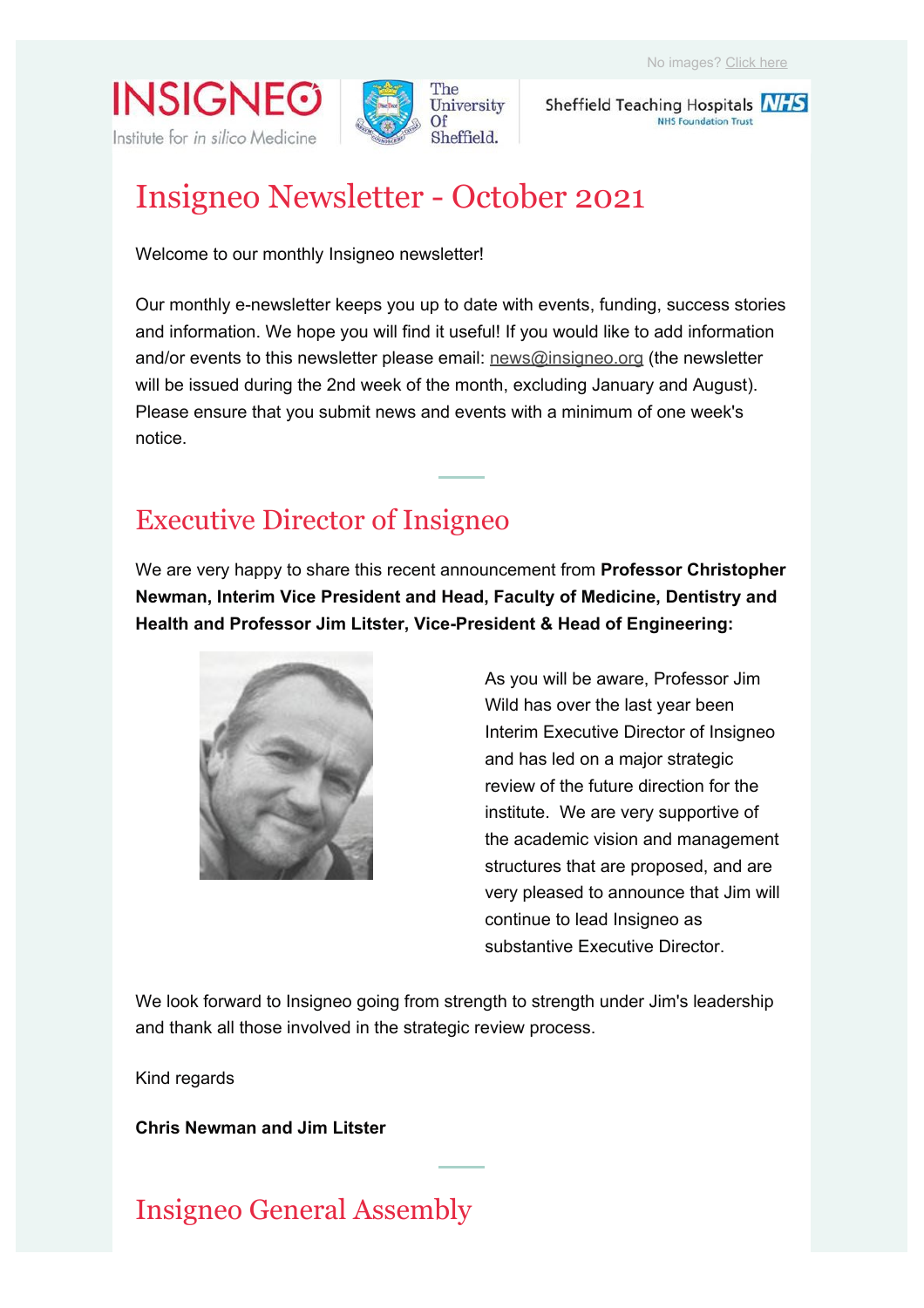**INSIGNEG** Institute for in silico Medicine



Sheffield Teaching Hospitals NHS **NHS Foundation Trust** 

# Insigneo Newsletter - October 2021

Welcome to our monthly Insigneo newsletter!

Our monthly e-newsletter keeps you up to date with events, funding, success stories and information. We hope you will find it useful! If you would like to add information and/or events to this newsletter please email: news@insigneo.org (the newsletter will be issued during the 2nd week of the month, excluding January and August). Please ensure that you submit news and events with a minimum of one week's notice.

### Executive Director of Insigneo

We are very happy to share this recent announcement from **Professor Christopher Newman, Interim Vice President and Head, Faculty of Medicine, Dentistry and Health and Professor Jim Litster, Vice-President & Head of Engineering:**



As you will be aware, Professor Jim Wild has over the last year been Interim Executive Director of Insigneo and has led on a major strategic review of the future direction for the institute. We are very supportive of the academic vision and management structures that are proposed, and are very pleased to announce that Jim will continue to lead Insigneo as substantive Executive Director.

We look forward to Insigneo going from strength to strength under Jim's leadership and thank all those involved in the strategic review process.

Kind regards

**Chris Newman and Jim Litster**

# Insigneo General Assembly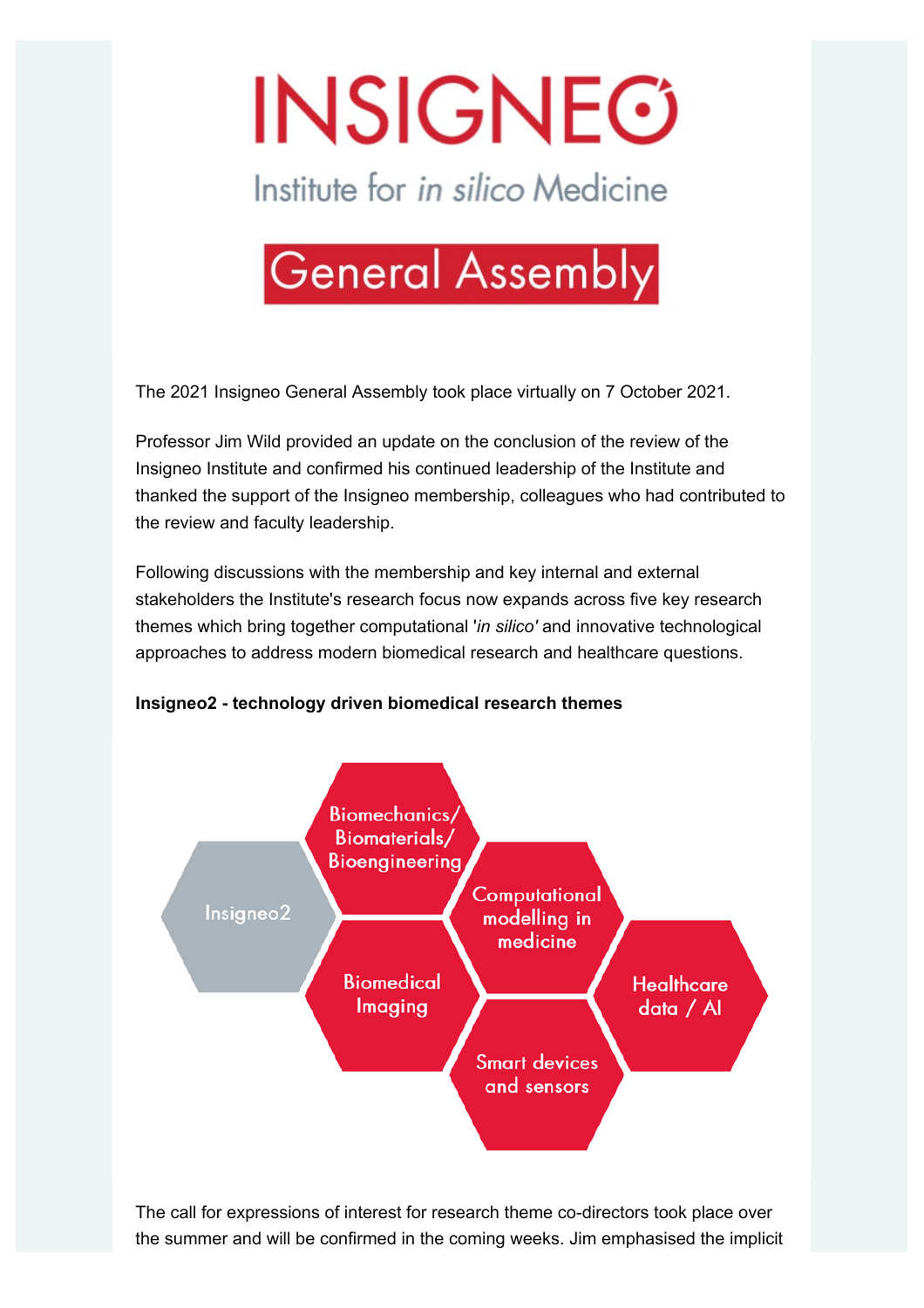# **INSIGNEG**

Institute for in silico Medicine



The 2021 Insigneo General Assembly took place virtually on 7 October 2021.

Professor Jim Wild provided an update on the conclusion of the review of the Insigneo Institute and confirmed his continued leadership of the Institute and thanked the support of the Insigneo membership, colleagues who had contributed to the review and faculty leadership.

Following discussions with the membership and key internal and external stakeholders the Institute's research focus now expands across five key research themes which bring together computational '*in silico'* and innovative technological approaches to address modern biomedical research and healthcare questions.

#### **Insigneo2 - technology driven biomedical research themes**



The call for expressions of interest for research theme co-directors took place over the summer and will be confirmed in the coming weeks. Jim emphasised the implicit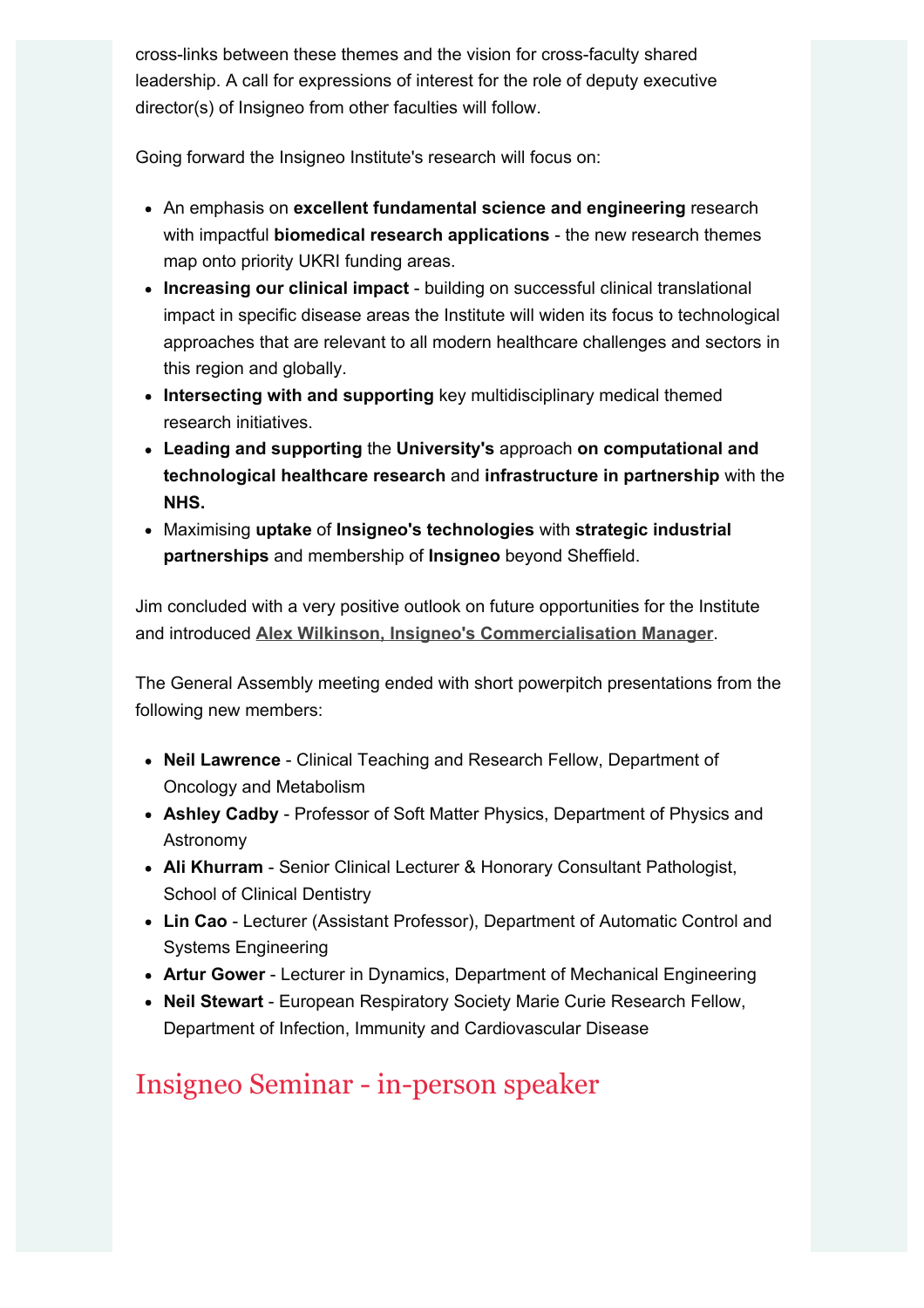cross-links between these themes and the vision for cross-faculty shared leadership. A call for expressions of interest for the role of deputy executive director(s) of Insigneo from other faculties will follow.

Going forward the Insigneo Institute's research will focus on:

- An emphasis on **excellent fundamental science and engineering** research with impactful **biomedical research applications** - the new research themes map onto priority UKRI funding areas.
- **Increasing our clinical impact** building on successful clinical translational impact in specific disease areas the Institute will widen its focus to technological approaches that are relevant to all modern healthcare challenges and sectors in this region and globally.
- **Intersecting with and supporting** key multidisciplinary medical themed research initiatives.
- **Leading and supporting** the **University's** approach **on computational and technological healthcare research** and **infrastructure in partnership** with the **NHS.**
- Maximising **uptake** of **Insigneo's technologies** with **strategic industrial partnerships** and membership of **Insigneo** beyond Sheffield.

Jim concluded with a very positive outlook on future opportunities for the Institute and introduced **Alex Wilkinson, Insigneo's Commercialisation Manager**.

The General Assembly meeting ended with short powerpitch presentations from the following new members:

- **Neil Lawrence** Clinical Teaching and Research Fellow, Department of Oncology and Metabolism
- **Ashley Cadby** Professor of Soft Matter Physics, Department of Physics and Astronomy
- **Ali Khurram** Senior Clinical Lecturer & Honorary Consultant Pathologist, School of Clinical Dentistry
- **Lin Cao** Lecturer (Assistant Professor), Department of Automatic Control and Systems Engineering
- **Artur Gower** Lecturer in Dynamics, Department of Mechanical Engineering
- **Neil Stewart** European Respiratory Society Marie Curie Research Fellow, Department of Infection, Immunity and Cardiovascular Disease

# Insigneo Seminar - in-person speaker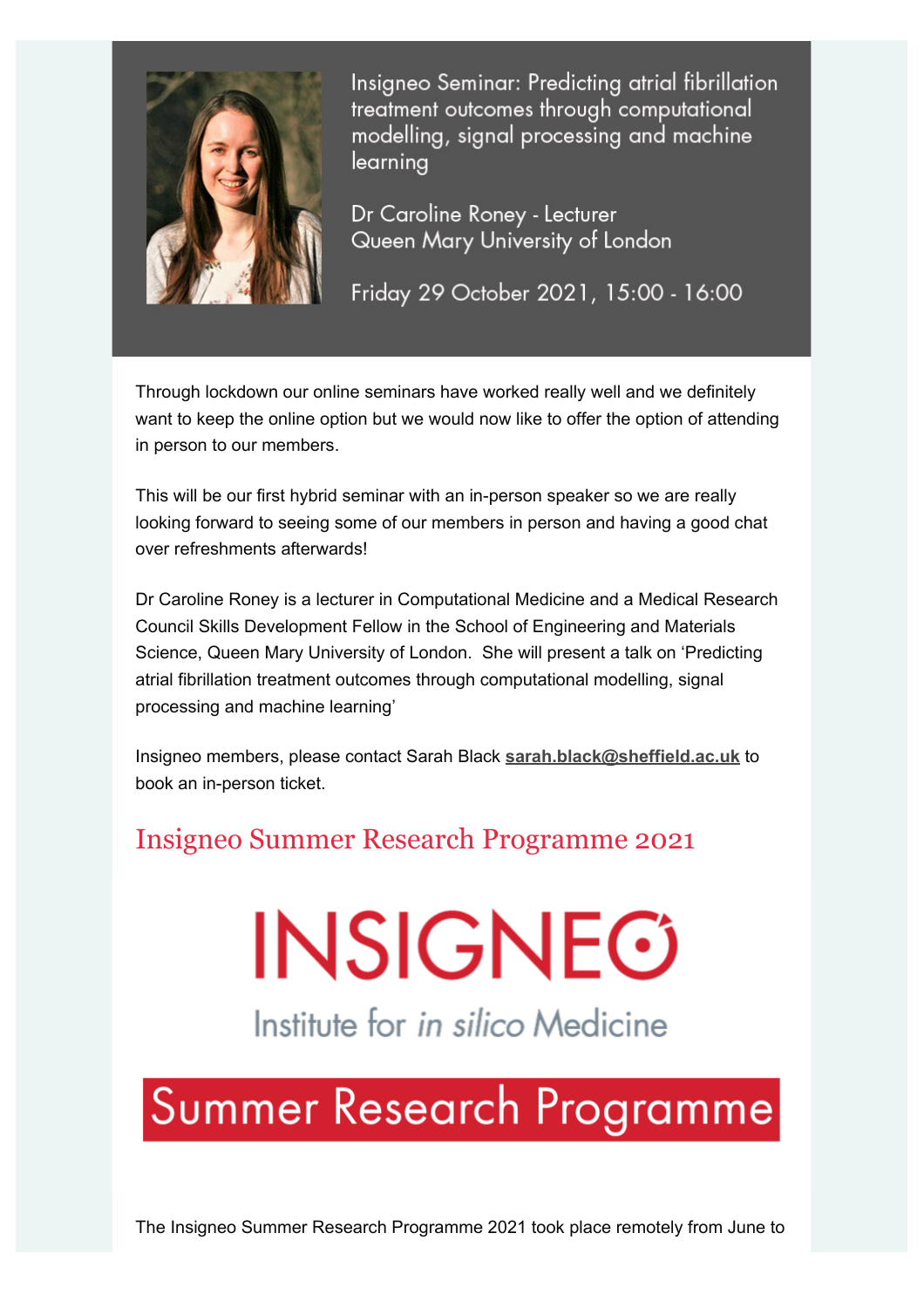

Insigneo Seminar: Predicting atrial fibrillation treatment outcomes through computational modelling, signal processing and machine learnina

Dr Caroline Roney - Lecturer Queen Mary University of London

Friday 29 October 2021, 15:00 - 16:00

Through lockdown our online seminars have worked really well and we definitely want to keep the online option but we would now like to offer the option of attending in person to our members.

This will be our first hybrid seminar with an in-person speaker so we are really looking forward to seeing some of our members in person and having a good chat over refreshments afterwards!

Dr Caroline Roney is a lecturer in Computational Medicine and a Medical Research Council Skills Development Fellow in the School of Engineering and Materials Science, Queen Mary University of London. She will present a talk on 'Predicting atrial fibrillation treatment outcomes through computational modelling, signal processing and machine learning'

Insigneo members, please contact Sarah Black **sarah.black@sheffield.ac.uk** to book an in-person ticket.

#### Insigneo Summer Research Programme 2021

# **INSIGNEG**

Institute for in silico Medicine

# Summer Research Programme

The Insigneo Summer Research Programme 2021 took place remotely from June to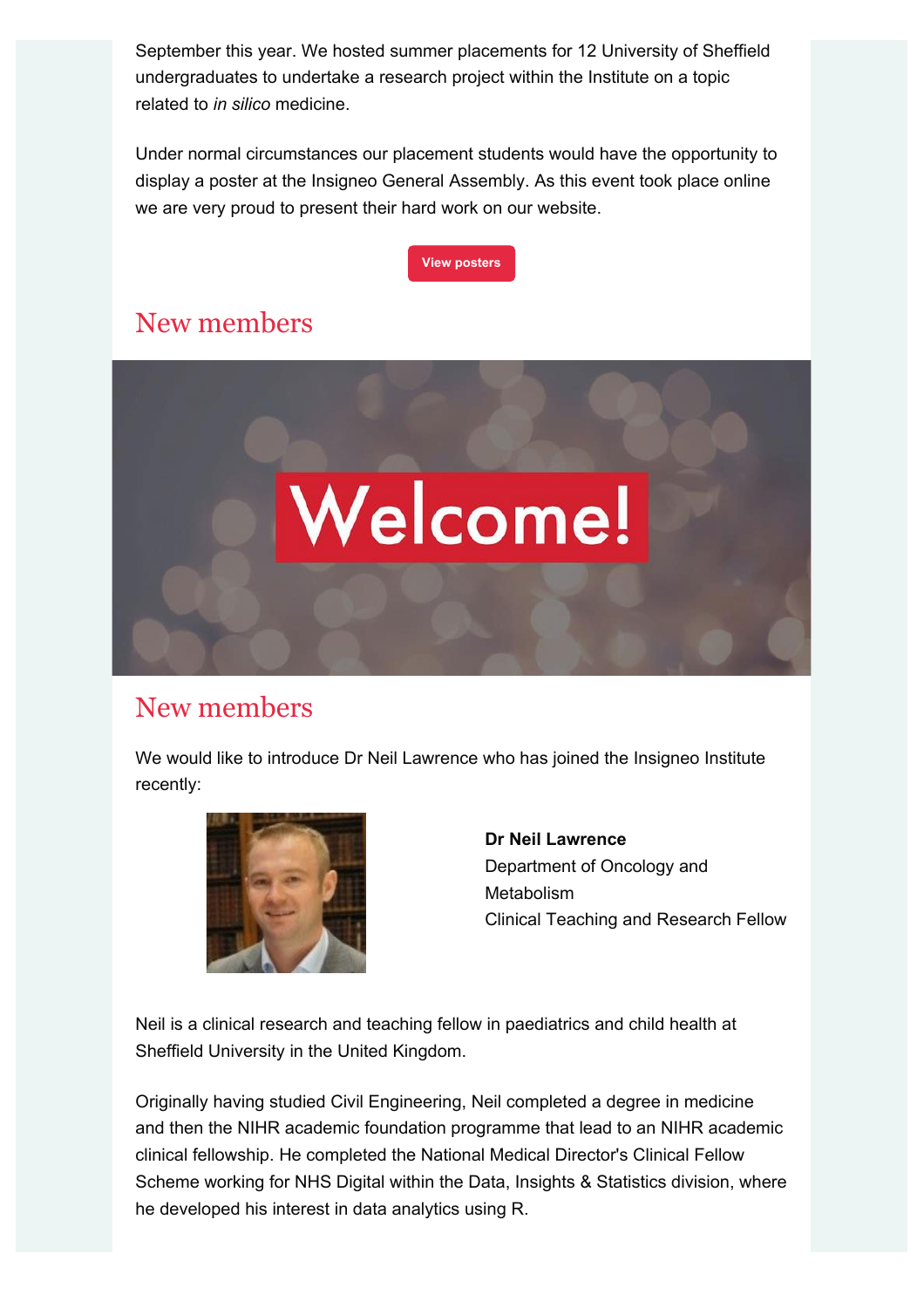September this year. We hosted summer placements for 12 University of Sheffield undergraduates to undertake a research project within the Institute on a topic related to *in silico* medicine.

Under normal circumstances our placement students would have the opportunity to display a poster at the Insigneo General Assembly. As this event took place online we are very proud to present their hard work on our website.



# New members



#### New members

We would like to introduce Dr Neil Lawrence who has joined the Insigneo Institute recently:



**Dr Neil Lawrence** Department of Oncology and Metabolism Clinical Teaching and Research Fellow

Neil is a clinical research and teaching fellow in paediatrics and child health at Sheffield University in the United Kingdom.

Originally having studied Civil Engineering, Neil completed a degree in medicine and then the NIHR academic foundation programme that lead to an NIHR academic clinical fellowship. He completed the National Medical Director's Clinical Fellow Scheme working for NHS Digital within the Data, Insights & Statistics division, where he developed his interest in data analytics using R.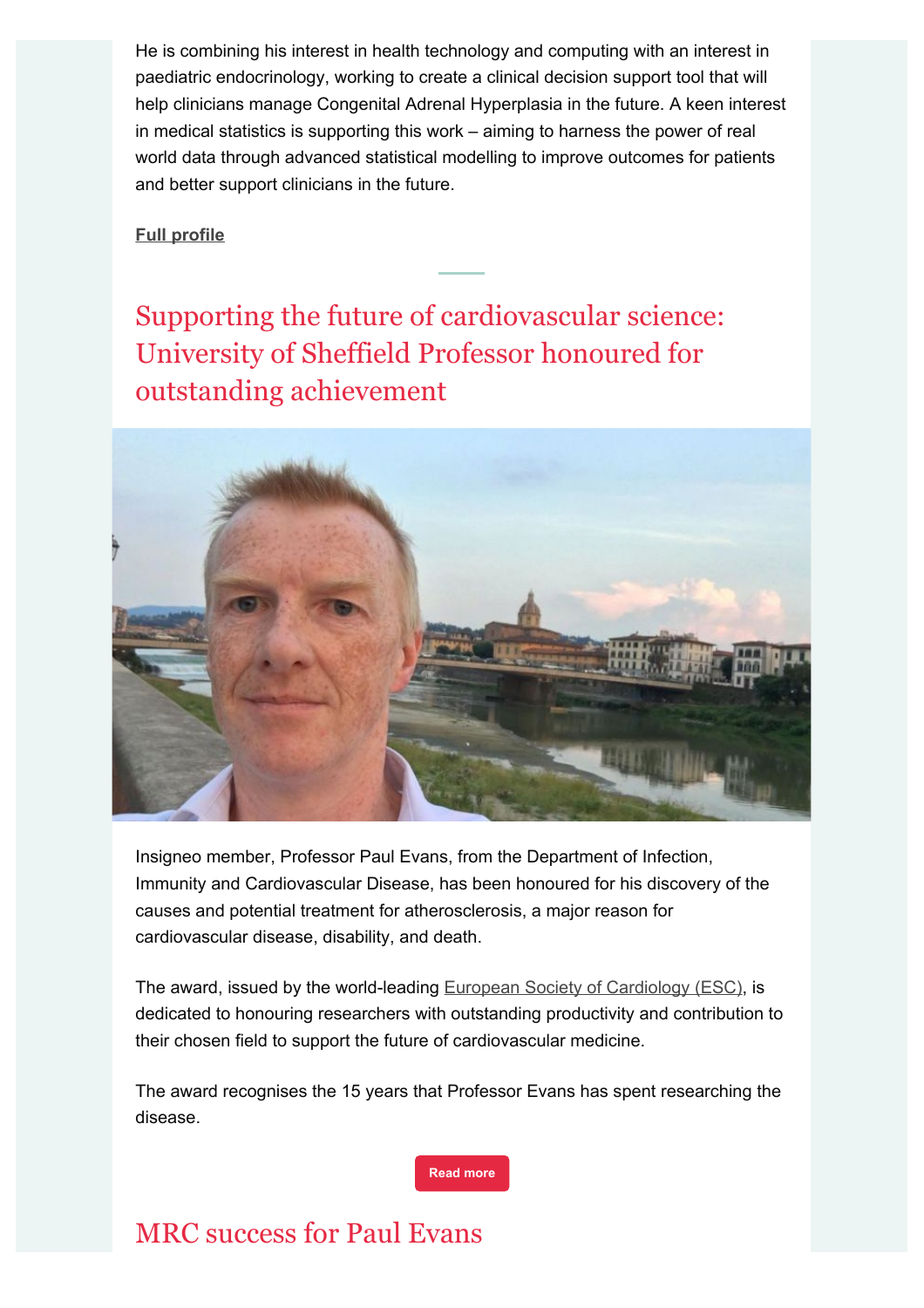He is combining his interest in health technology and computing with an interest in paediatric endocrinology, working to create a clinical decision support tool that will help clinicians manage Congenital Adrenal Hyperplasia in the future. A keen interest in medical statistics is supporting this work – aiming to harness the power of real world data through advanced statistical modelling to improve outcomes for patients and better support clinicians in the future.

#### **Full profile**

Supporting the future of cardiovascular science: University of Sheffield Professor honoured for outstanding achievement



Insigneo member, Professor Paul Evans, from the Department of Infection, Immunity and Cardiovascular Disease, has been honoured for his discovery of the causes and potential treatment for atherosclerosis, a major reason for cardiovascular disease, disability, and death.

The award, issued by the world-leading European Society of Cardiology (ESC), is dedicated to honouring researchers with outstanding productivity and contribution to their chosen field to support the future of cardiovascular medicine.

The award recognises the 15 years that Professor Evans has spent researching the disease.

**Read more**

#### MRC success for Paul Evans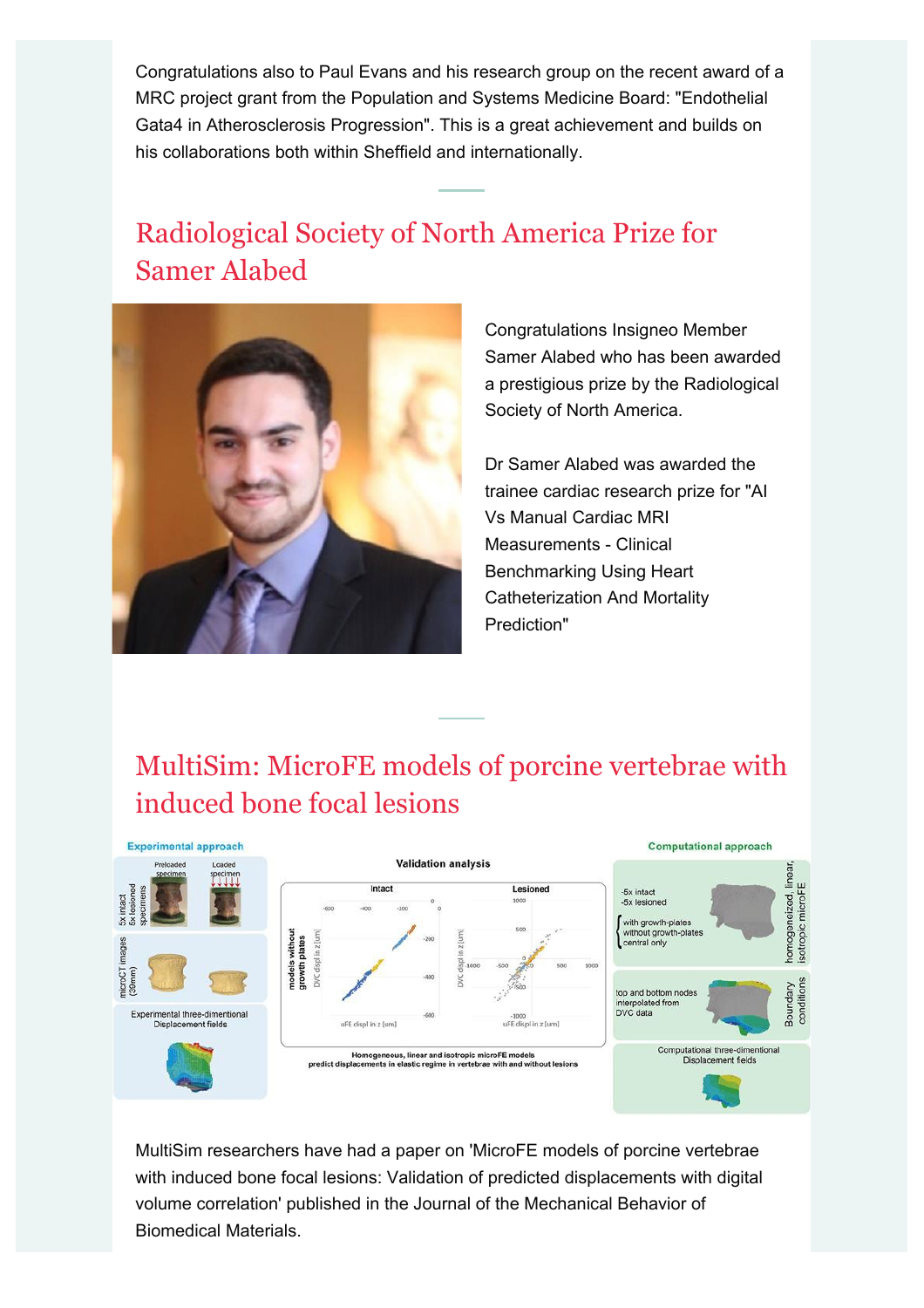Congratulations also to Paul Evans and his research group on the recent award of a MRC project grant from the Population and Systems Medicine Board: "Endothelial Gata4 in Atherosclerosis Progression". This is a great achievement and builds on his collaborations both within Sheffield and internationally.

# Radiological Society of North America Prize for Samer Alabed



Congratulations Insigneo Member Samer Alabed who has been awarded a prestigious prize by the Radiological Society of North America.

Dr Samer Alabed was awarded the trainee cardiac research prize for "AI Vs Manual Cardiac MRI Measurements - Clinical Benchmarking Using Heart Catheterization And Mortality Prediction"

# MultiSim: MicroFE models of porcine vertebrae with induced bone focal lesions



MultiSim researchers have had a paper on 'MicroFE models of porcine vertebrae with induced bone focal lesions: Validation of predicted displacements with digital volume correlation' published in the Journal of the Mechanical Behavior of Biomedical Materials.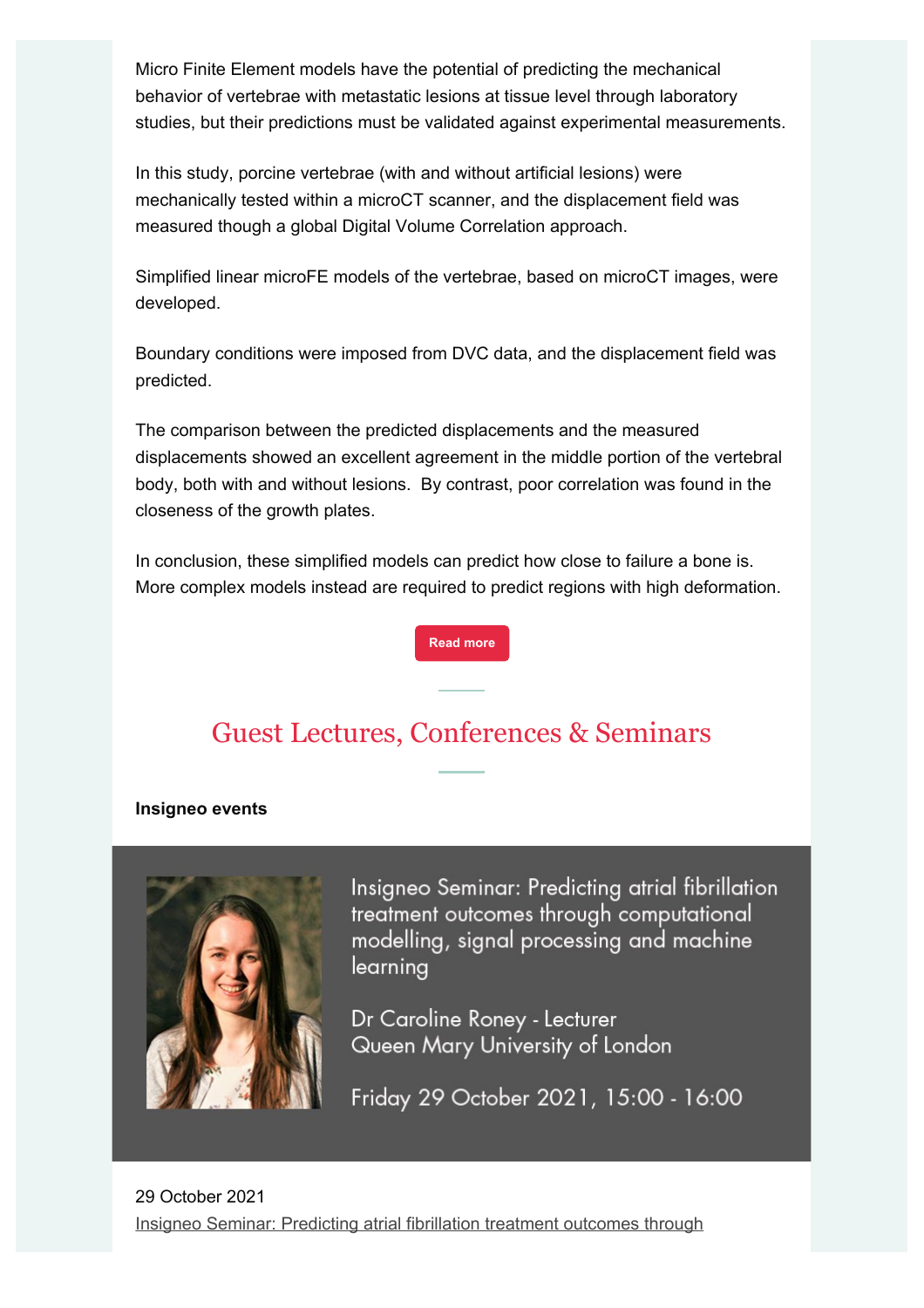Micro Finite Element models have the potential of predicting the mechanical behavior of vertebrae with metastatic lesions at tissue level through laboratory studies, but their predictions must be validated against experimental measurements.

In this study, porcine vertebrae (with and without artificial lesions) were mechanically tested within a microCT scanner, and the displacement field was measured though a global Digital Volume Correlation approach.

Simplified linear microFE models of the vertebrae, based on microCT images, were developed.

Boundary conditions were imposed from DVC data, and the displacement field was predicted.

The comparison between the predicted displacements and the measured displacements showed an excellent agreement in the middle portion of the vertebral body, both with and without lesions. By contrast, poor correlation was found in the closeness of the growth plates.

In conclusion, these simplified models can predict how close to failure a bone is. More complex models instead are required to predict regions with high deformation.

**Read more**

#### Guest Lectures, Conferences & Seminars

#### **Insigneo events**



Insigneo Seminar: Predicting atrial fibrillation treatment outcomes through computational modelling, signal processing and machine learning

Dr Caroline Roney - Lecturer Queen Mary University of London

Friday 29 October 2021, 15:00 - 16:00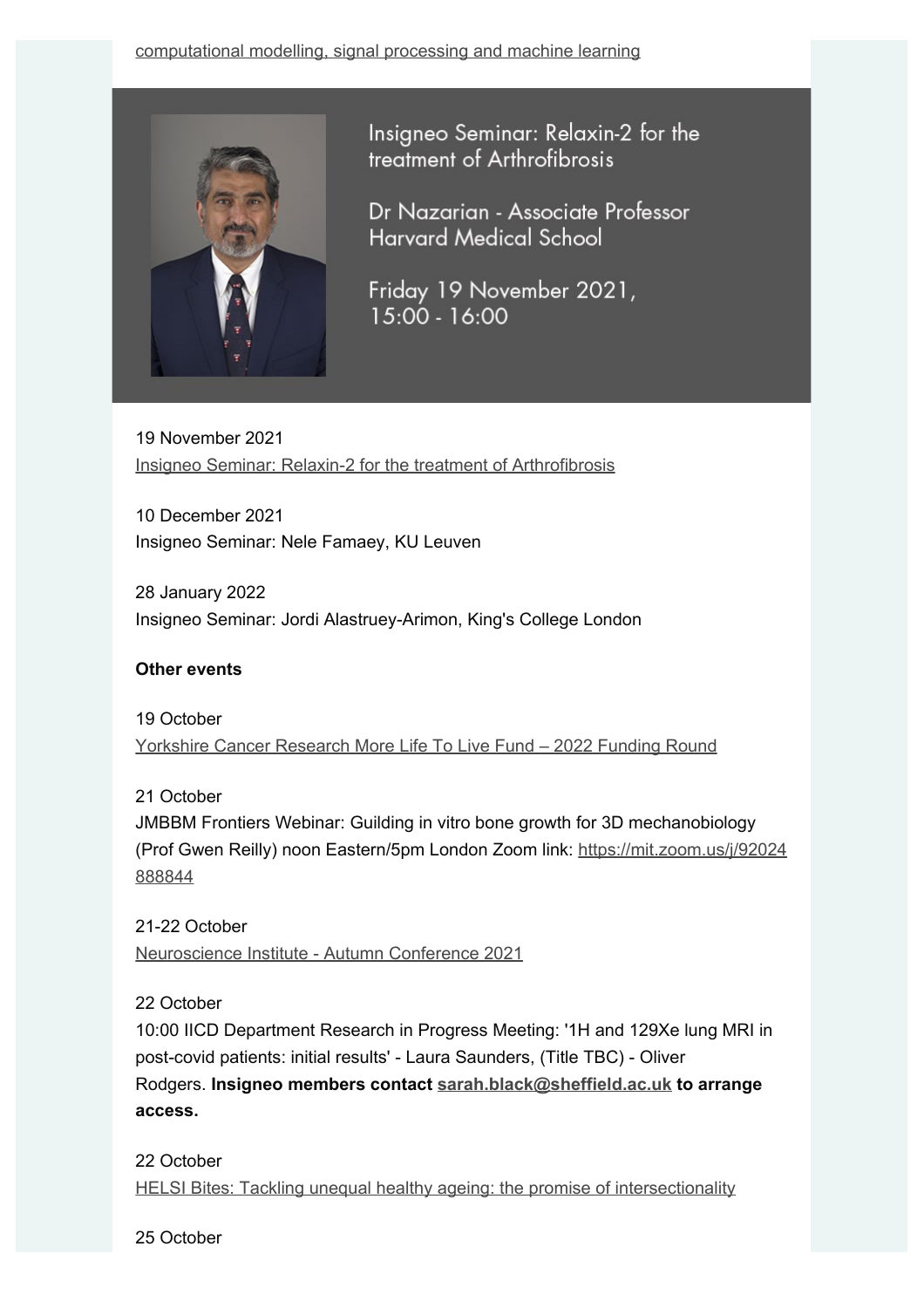

Insigneo Seminar: Relaxin-2 for the treatment of Arthrofibrosis

Dr Nazarian - Associate Professor **Harvard Medical School** 

Friday 19 November 2021,  $15:00 - 16:00$ 

19 November 2021 Insigneo Seminar: Relaxin-2 for the treatment of Arthrofibrosis

10 December 2021 Insigneo Seminar: Nele Famaey, KU Leuven

28 January 2022 Insigneo Seminar: Jordi Alastruey-Arimon, King's College London

#### **Other events**

19 October Yorkshire Cancer Research More Life To Live Fund – 2022 Funding Round

21 October

JMBBM Frontiers Webinar: Guilding in vitro bone growth for 3D mechanobiology (Prof Gwen Reilly) noon Eastern/5pm London Zoom link: https://mit.zoom.us/j/92024 888844

21-22 October Neuroscience Institute - Autumn Conference 2021

22 October

10:00 IICD Department Research in Progress Meeting: '1H and 129Xe lung MRI in post-covid patients: initial results' - Laura Saunders, (Title TBC) - Oliver Rodgers. **Insigneo members contact sarah.black@sheffield.ac.uk to arrange access.**

22 October HELSI Bites: Tackling unequal healthy ageing: the promise of intersectionality

25 October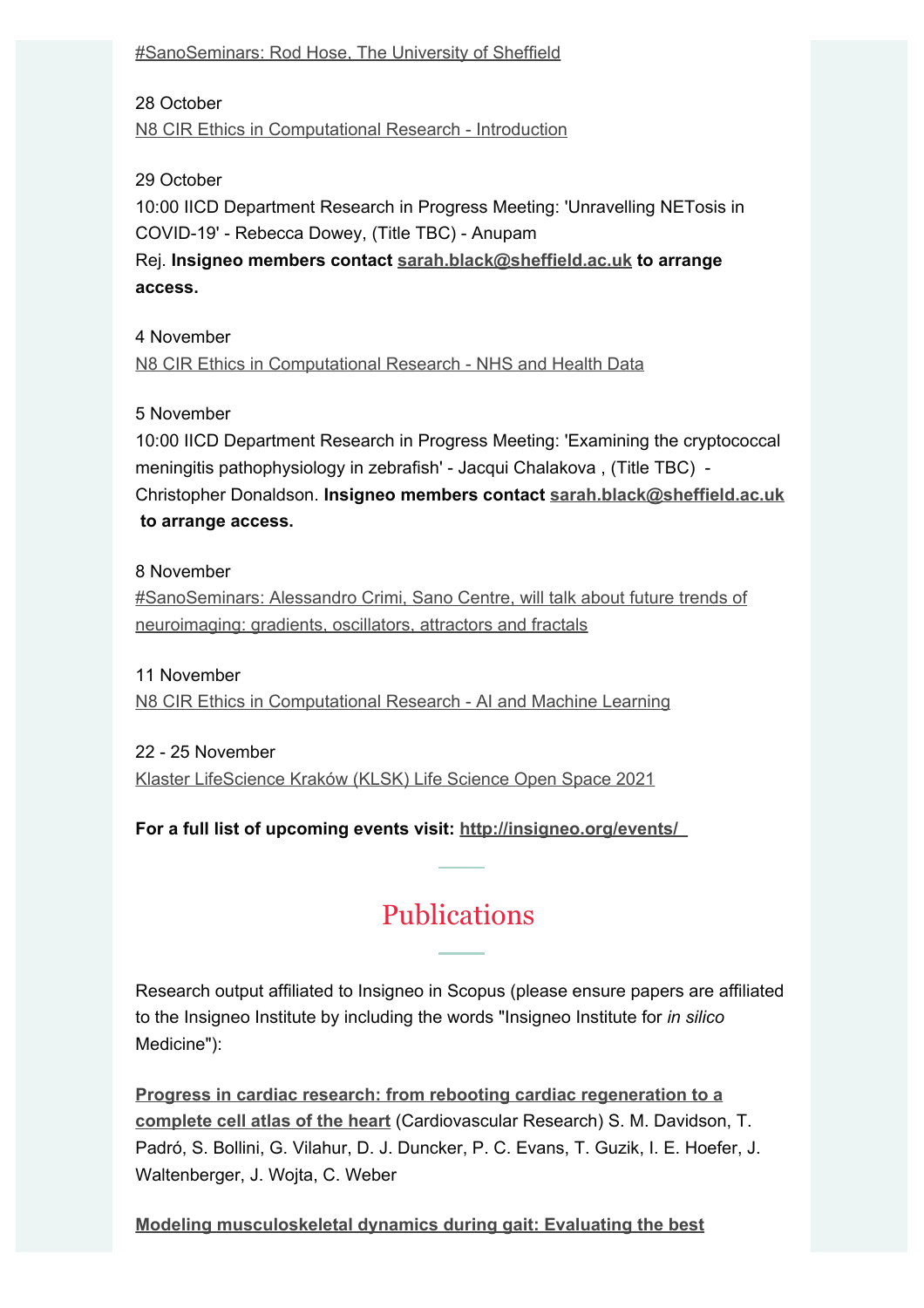#SanoSeminars: Rod Hose, The University of Sheffield

28 October N8 CIR Ethics in Computational Research - Introduction

#### 29 October

10:00 IICD Department Research in Progress Meeting: 'Unravelling NETosis in COVID-19' - Rebecca Dowey, (Title TBC) - Anupam

Rej. **Insigneo members contact sarah.black@sheffield.ac.uk to arrange access.**

4 November

N8 CIR Ethics in Computational Research - NHS and Health Data

#### 5 November

10:00 IICD Department Research in Progress Meeting: 'Examining the cryptococcal meningitis pathophysiology in zebrafish' - Jacqui Chalakova , (Title TBC) - Christopher Donaldson. **Insigneo members contact sarah.black@sheffield.ac.uk to arrange access.**

#### 8 November

#SanoSeminars: Alessandro Crimi, Sano Centre, will talk about future trends of neuroimaging: gradients, oscillators, attractors and fractals

11 November N8 CIR Ethics in Computational Research - AI and Machine Learning

22 - 25 November Klaster LifeScience Kraków (KLSK) Life Science Open Space 2021

**For a full list of upcoming events visit: http://insigneo.org/events/** 

#### Publications

Research output affiliated to Insigneo in Scopus (please ensure papers are affiliated to the Insigneo Institute by including the words "Insigneo Institute for *in silico* Medicine"):

**Progress in cardiac research: from rebooting cardiac regeneration to a complete cell atlas of the heart** (Cardiovascular Research) S. M. Davidson, T. Padró, S. Bollini, G. Vilahur, D. J. Duncker, P. C. Evans, T. Guzik, I. E. Hoefer, J. Waltenberger, J. Wojta, C. Weber

**Modeling musculoskeletal dynamics during gait: Evaluating the best**